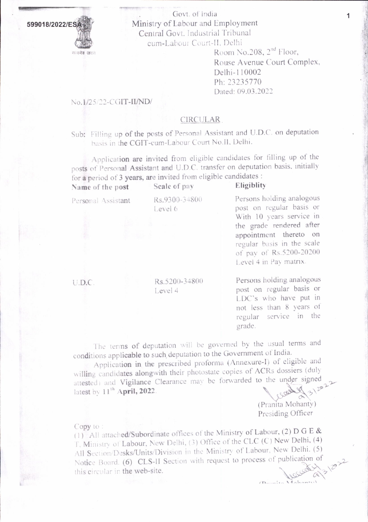

Govt. of India Ministry of Labour and Employment Central Govt. Industrial Tribunal cum-Labour Court-II, Delhi

Room No.208, 2<sup>nd</sup> Floor, Rouse Avenue Court Complex, Delhi-110002 Ph: 23235770 Dated: 09.03.2022

## No.1/25/22-CGIT-II/ND/

## **CIRCULAR**

Sub: Filling up of the posts of Personal Assistant and U.D.C. on deputation basis in the CGIT-cum-Labour Court No.II, Delhi.

Application are invited from eligible candidates for filling up of the posts of Personal Assistant and U.D.C. transfer on deputation basis, initially for a period of 3 years, are invited from eligible candidates : Eligiblity Scale of nov

| Name of the post         | Scale of pay             | Eligiblity                                                                                                                                                                                                                 |  |  |
|--------------------------|--------------------------|----------------------------------------------------------------------------------------------------------------------------------------------------------------------------------------------------------------------------|--|--|
| Personal Assistant<br>地震 | Rs.9300-34800<br>Level 6 | Persons holding analogous<br>post on regular basis or<br>With 10 years service in<br>the grade rendered after<br>appointment thereto on<br>regular basis in the scale<br>of pay of Rs.5200-20200<br>Level 4 in Pay matrix. |  |  |
| U.D.C.                   | Rs.5200-34800<br>Level 4 | Persons holding analogous<br>post on regular basis or<br>$1 \text{D}C$ <sup>1</sup> $\sim$ who hove nut in                                                                                                                 |  |  |

LDC's who have put in not less than 8 years of regular service in the grade.

The terms of deputation will be governed by the usual terms and conditions applicable to such deputation to the Government of India.

Application in the prescribed proforma (Annexure-I) of eligible and willing candidates alongwith their photostate copies of ACRs dossiers (duly attested) and Vigilance Clearance may be forwarded to the under signed latest by 11<sup>th</sup> April, 2022.

> (Pranita Mohanty) Presiding Officer

## Copy to:

(1) All attached/Subordinate offices of the Ministry of Labour, (2) D G E & T, Ministry of Labour, New Delhi, (3) Office of the CLC (C) New Delhi, (4) All Section/Desks/Units/Division in the Ministry of Labour, New Delhi. (5) Notice Board. (6) CLS-II Section with request to process of publication of this circular in the web-site.